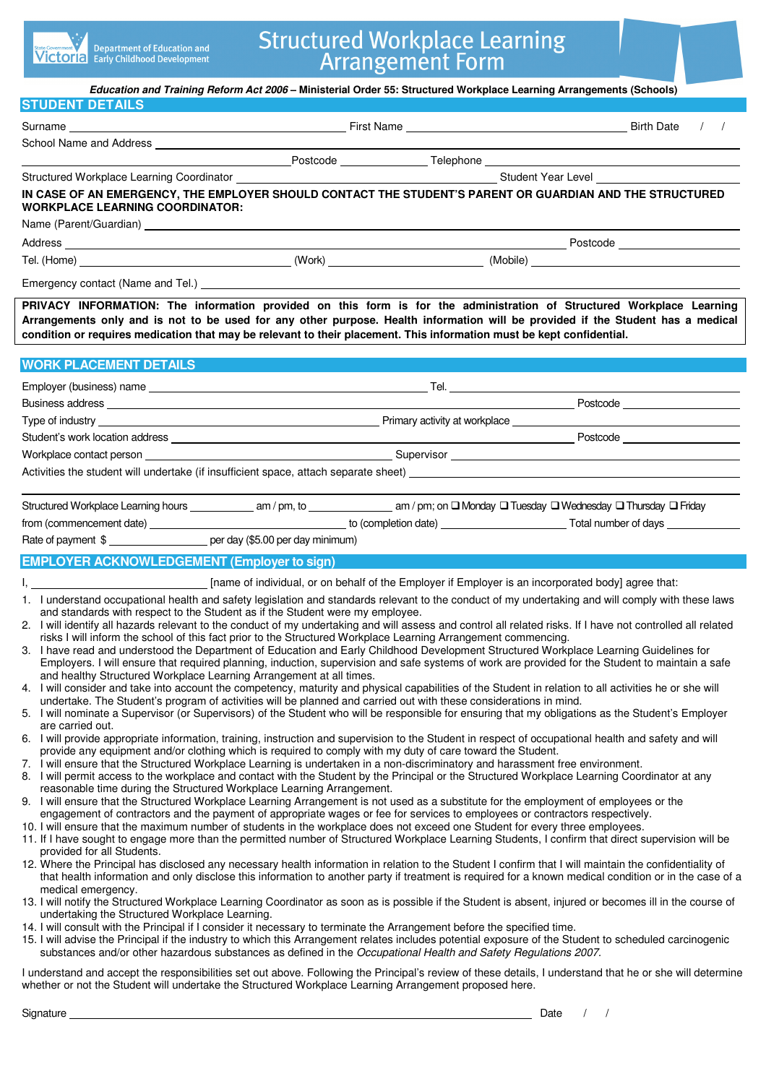| <b>State Government &gt;</b> Department of Education and<br><b>Victoria</b> Early Childhood Development | . <b>.</b> |
|---------------------------------------------------------------------------------------------------------|------------|
|---------------------------------------------------------------------------------------------------------|------------|

# **Structured Workplace Learning**<br>Arrangement Form

|                                                                                                                                                                                                                                                                                                                                                                                                                                                                                                                                                                                                                                                                                                                                                                                                                                                                                                                                                                                                                                                                                                                                                                                                                                                                                                                                                                                                                                                                                                                                                                                                                                                                                                                                                                                                                                                                                                                                                                                                                                                                                                          | Education and Training Reform Act 2006 - Ministerial Order 55: Structured Workplace Learning Arrangements (Schools)                                                                                                                                                                                                                                                                                                                                                                                                                                                                                  |                                                                                                                                                                                                                                                                                                                                                                                                                                                                                                                                                                                                                                                                                                                                                                                                                                                                                                                                                        |
|----------------------------------------------------------------------------------------------------------------------------------------------------------------------------------------------------------------------------------------------------------------------------------------------------------------------------------------------------------------------------------------------------------------------------------------------------------------------------------------------------------------------------------------------------------------------------------------------------------------------------------------------------------------------------------------------------------------------------------------------------------------------------------------------------------------------------------------------------------------------------------------------------------------------------------------------------------------------------------------------------------------------------------------------------------------------------------------------------------------------------------------------------------------------------------------------------------------------------------------------------------------------------------------------------------------------------------------------------------------------------------------------------------------------------------------------------------------------------------------------------------------------------------------------------------------------------------------------------------------------------------------------------------------------------------------------------------------------------------------------------------------------------------------------------------------------------------------------------------------------------------------------------------------------------------------------------------------------------------------------------------------------------------------------------------------------------------------------------------|------------------------------------------------------------------------------------------------------------------------------------------------------------------------------------------------------------------------------------------------------------------------------------------------------------------------------------------------------------------------------------------------------------------------------------------------------------------------------------------------------------------------------------------------------------------------------------------------------|--------------------------------------------------------------------------------------------------------------------------------------------------------------------------------------------------------------------------------------------------------------------------------------------------------------------------------------------------------------------------------------------------------------------------------------------------------------------------------------------------------------------------------------------------------------------------------------------------------------------------------------------------------------------------------------------------------------------------------------------------------------------------------------------------------------------------------------------------------------------------------------------------------------------------------------------------------|
| <b>STUDENT DETAILS</b>                                                                                                                                                                                                                                                                                                                                                                                                                                                                                                                                                                                                                                                                                                                                                                                                                                                                                                                                                                                                                                                                                                                                                                                                                                                                                                                                                                                                                                                                                                                                                                                                                                                                                                                                                                                                                                                                                                                                                                                                                                                                                   |                                                                                                                                                                                                                                                                                                                                                                                                                                                                                                                                                                                                      |                                                                                                                                                                                                                                                                                                                                                                                                                                                                                                                                                                                                                                                                                                                                                                                                                                                                                                                                                        |
|                                                                                                                                                                                                                                                                                                                                                                                                                                                                                                                                                                                                                                                                                                                                                                                                                                                                                                                                                                                                                                                                                                                                                                                                                                                                                                                                                                                                                                                                                                                                                                                                                                                                                                                                                                                                                                                                                                                                                                                                                                                                                                          |                                                                                                                                                                                                                                                                                                                                                                                                                                                                                                                                                                                                      | $\left  \right $                                                                                                                                                                                                                                                                                                                                                                                                                                                                                                                                                                                                                                                                                                                                                                                                                                                                                                                                       |
|                                                                                                                                                                                                                                                                                                                                                                                                                                                                                                                                                                                                                                                                                                                                                                                                                                                                                                                                                                                                                                                                                                                                                                                                                                                                                                                                                                                                                                                                                                                                                                                                                                                                                                                                                                                                                                                                                                                                                                                                                                                                                                          |                                                                                                                                                                                                                                                                                                                                                                                                                                                                                                                                                                                                      |                                                                                                                                                                                                                                                                                                                                                                                                                                                                                                                                                                                                                                                                                                                                                                                                                                                                                                                                                        |
|                                                                                                                                                                                                                                                                                                                                                                                                                                                                                                                                                                                                                                                                                                                                                                                                                                                                                                                                                                                                                                                                                                                                                                                                                                                                                                                                                                                                                                                                                                                                                                                                                                                                                                                                                                                                                                                                                                                                                                                                                                                                                                          |                                                                                                                                                                                                                                                                                                                                                                                                                                                                                                                                                                                                      |                                                                                                                                                                                                                                                                                                                                                                                                                                                                                                                                                                                                                                                                                                                                                                                                                                                                                                                                                        |
| IN CASE OF AN EMERGENCY, THE EMPLOYER SHOULD CONTACT THE STUDENT'S PARENT OR GUARDIAN AND THE STRUCTURED<br><b>WORKPLACE LEARNING COORDINATOR:</b>                                                                                                                                                                                                                                                                                                                                                                                                                                                                                                                                                                                                                                                                                                                                                                                                                                                                                                                                                                                                                                                                                                                                                                                                                                                                                                                                                                                                                                                                                                                                                                                                                                                                                                                                                                                                                                                                                                                                                       |                                                                                                                                                                                                                                                                                                                                                                                                                                                                                                                                                                                                      |                                                                                                                                                                                                                                                                                                                                                                                                                                                                                                                                                                                                                                                                                                                                                                                                                                                                                                                                                        |
|                                                                                                                                                                                                                                                                                                                                                                                                                                                                                                                                                                                                                                                                                                                                                                                                                                                                                                                                                                                                                                                                                                                                                                                                                                                                                                                                                                                                                                                                                                                                                                                                                                                                                                                                                                                                                                                                                                                                                                                                                                                                                                          |                                                                                                                                                                                                                                                                                                                                                                                                                                                                                                                                                                                                      |                                                                                                                                                                                                                                                                                                                                                                                                                                                                                                                                                                                                                                                                                                                                                                                                                                                                                                                                                        |
|                                                                                                                                                                                                                                                                                                                                                                                                                                                                                                                                                                                                                                                                                                                                                                                                                                                                                                                                                                                                                                                                                                                                                                                                                                                                                                                                                                                                                                                                                                                                                                                                                                                                                                                                                                                                                                                                                                                                                                                                                                                                                                          |                                                                                                                                                                                                                                                                                                                                                                                                                                                                                                                                                                                                      |                                                                                                                                                                                                                                                                                                                                                                                                                                                                                                                                                                                                                                                                                                                                                                                                                                                                                                                                                        |
|                                                                                                                                                                                                                                                                                                                                                                                                                                                                                                                                                                                                                                                                                                                                                                                                                                                                                                                                                                                                                                                                                                                                                                                                                                                                                                                                                                                                                                                                                                                                                                                                                                                                                                                                                                                                                                                                                                                                                                                                                                                                                                          |                                                                                                                                                                                                                                                                                                                                                                                                                                                                                                                                                                                                      |                                                                                                                                                                                                                                                                                                                                                                                                                                                                                                                                                                                                                                                                                                                                                                                                                                                                                                                                                        |
|                                                                                                                                                                                                                                                                                                                                                                                                                                                                                                                                                                                                                                                                                                                                                                                                                                                                                                                                                                                                                                                                                                                                                                                                                                                                                                                                                                                                                                                                                                                                                                                                                                                                                                                                                                                                                                                                                                                                                                                                                                                                                                          |                                                                                                                                                                                                                                                                                                                                                                                                                                                                                                                                                                                                      |                                                                                                                                                                                                                                                                                                                                                                                                                                                                                                                                                                                                                                                                                                                                                                                                                                                                                                                                                        |
| condition or requires medication that may be relevant to their placement. This information must be kept confidential.                                                                                                                                                                                                                                                                                                                                                                                                                                                                                                                                                                                                                                                                                                                                                                                                                                                                                                                                                                                                                                                                                                                                                                                                                                                                                                                                                                                                                                                                                                                                                                                                                                                                                                                                                                                                                                                                                                                                                                                    |                                                                                                                                                                                                                                                                                                                                                                                                                                                                                                                                                                                                      | PRIVACY INFORMATION: The information provided on this form is for the administration of Structured Workplace Learning<br>Arrangements only and is not to be used for any other purpose. Health information will be provided if the Student has a medical                                                                                                                                                                                                                                                                                                                                                                                                                                                                                                                                                                                                                                                                                               |
| <b>WORK PLACEMENT DETAILS</b>                                                                                                                                                                                                                                                                                                                                                                                                                                                                                                                                                                                                                                                                                                                                                                                                                                                                                                                                                                                                                                                                                                                                                                                                                                                                                                                                                                                                                                                                                                                                                                                                                                                                                                                                                                                                                                                                                                                                                                                                                                                                            |                                                                                                                                                                                                                                                                                                                                                                                                                                                                                                                                                                                                      |                                                                                                                                                                                                                                                                                                                                                                                                                                                                                                                                                                                                                                                                                                                                                                                                                                                                                                                                                        |
|                                                                                                                                                                                                                                                                                                                                                                                                                                                                                                                                                                                                                                                                                                                                                                                                                                                                                                                                                                                                                                                                                                                                                                                                                                                                                                                                                                                                                                                                                                                                                                                                                                                                                                                                                                                                                                                                                                                                                                                                                                                                                                          |                                                                                                                                                                                                                                                                                                                                                                                                                                                                                                                                                                                                      |                                                                                                                                                                                                                                                                                                                                                                                                                                                                                                                                                                                                                                                                                                                                                                                                                                                                                                                                                        |
|                                                                                                                                                                                                                                                                                                                                                                                                                                                                                                                                                                                                                                                                                                                                                                                                                                                                                                                                                                                                                                                                                                                                                                                                                                                                                                                                                                                                                                                                                                                                                                                                                                                                                                                                                                                                                                                                                                                                                                                                                                                                                                          |                                                                                                                                                                                                                                                                                                                                                                                                                                                                                                                                                                                                      | $\begin{tabular}{c} \quad \quad \quad \textbf{Postcode} \end{tabular}$                                                                                                                                                                                                                                                                                                                                                                                                                                                                                                                                                                                                                                                                                                                                                                                                                                                                                 |
|                                                                                                                                                                                                                                                                                                                                                                                                                                                                                                                                                                                                                                                                                                                                                                                                                                                                                                                                                                                                                                                                                                                                                                                                                                                                                                                                                                                                                                                                                                                                                                                                                                                                                                                                                                                                                                                                                                                                                                                                                                                                                                          |                                                                                                                                                                                                                                                                                                                                                                                                                                                                                                                                                                                                      | the control of the control of the control of the control of the                                                                                                                                                                                                                                                                                                                                                                                                                                                                                                                                                                                                                                                                                                                                                                                                                                                                                        |
|                                                                                                                                                                                                                                                                                                                                                                                                                                                                                                                                                                                                                                                                                                                                                                                                                                                                                                                                                                                                                                                                                                                                                                                                                                                                                                                                                                                                                                                                                                                                                                                                                                                                                                                                                                                                                                                                                                                                                                                                                                                                                                          |                                                                                                                                                                                                                                                                                                                                                                                                                                                                                                                                                                                                      |                                                                                                                                                                                                                                                                                                                                                                                                                                                                                                                                                                                                                                                                                                                                                                                                                                                                                                                                                        |
|                                                                                                                                                                                                                                                                                                                                                                                                                                                                                                                                                                                                                                                                                                                                                                                                                                                                                                                                                                                                                                                                                                                                                                                                                                                                                                                                                                                                                                                                                                                                                                                                                                                                                                                                                                                                                                                                                                                                                                                                                                                                                                          |                                                                                                                                                                                                                                                                                                                                                                                                                                                                                                                                                                                                      |                                                                                                                                                                                                                                                                                                                                                                                                                                                                                                                                                                                                                                                                                                                                                                                                                                                                                                                                                        |
|                                                                                                                                                                                                                                                                                                                                                                                                                                                                                                                                                                                                                                                                                                                                                                                                                                                                                                                                                                                                                                                                                                                                                                                                                                                                                                                                                                                                                                                                                                                                                                                                                                                                                                                                                                                                                                                                                                                                                                                                                                                                                                          |                                                                                                                                                                                                                                                                                                                                                                                                                                                                                                                                                                                                      |                                                                                                                                                                                                                                                                                                                                                                                                                                                                                                                                                                                                                                                                                                                                                                                                                                                                                                                                                        |
| Rate of payment \$ _______________________ per day (\$5.00 per day minimum)<br><b>EMPLOYER ACKNOWLEDGEMENT (Employer to sign)</b>                                                                                                                                                                                                                                                                                                                                                                                                                                                                                                                                                                                                                                                                                                                                                                                                                                                                                                                                                                                                                                                                                                                                                                                                                                                                                                                                                                                                                                                                                                                                                                                                                                                                                                                                                                                                                                                                                                                                                                        |                                                                                                                                                                                                                                                                                                                                                                                                                                                                                                                                                                                                      |                                                                                                                                                                                                                                                                                                                                                                                                                                                                                                                                                                                                                                                                                                                                                                                                                                                                                                                                                        |
| I, 1. 2007 [name of individual, or on behalf of the Employer if Employer is an incorporated body] agree that:<br>and standards with respect to the Student as if the Student were my employee.<br>3. I have read and understood the Department of Education and Early Childhood Development Structured Workplace Learning Guidelines for<br>and healthy Structured Workplace Learning Arrangement at all times.<br>4. I will consider and take into account the competency, maturity and physical capabilities of the Student in relation to all activities he or she will<br>5. I will nominate a Supervisor (or Supervisors) of the Student who will be responsible for ensuring that my obligations as the Student's Employer<br>are carried out.<br>6. I will provide appropriate information, training, instruction and supervision to the Student in respect of occupational health and safety and will<br>7. I will ensure that the Structured Workplace Learning is undertaken in a non-discriminatory and harassment free environment.<br>8. I will permit access to the workplace and contact with the Student by the Principal or the Structured Workplace Learning Coordinator at any<br>reasonable time during the Structured Workplace Learning Arrangement.<br>9. I will ensure that the Structured Workplace Learning Arrangement is not used as a substitute for the employment of employees or the<br>10. I will ensure that the maximum number of students in the workplace does not exceed one Student for every three employees.<br>11. If I have sought to engage more than the permitted number of Structured Workplace Learning Students, I confirm that direct supervision will be<br>provided for all Students.<br>12. Where the Principal has disclosed any necessary health information in relation to the Student I confirm that I will maintain the confidentiality of<br>medical emergency.<br>undertaking the Structured Workplace Learning.<br>14. I will consult with the Principal if I consider it necessary to terminate the Arrangement before the specified time. | risks I will inform the school of this fact prior to the Structured Workplace Learning Arrangement commencing.<br>undertake. The Student's program of activities will be planned and carried out with these considerations in mind.<br>provide any equipment and/or clothing which is required to comply with my duty of care toward the Student.<br>engagement of contractors and the payment of appropriate wages or fee for services to employees or contractors respectively.<br>substances and/or other hazardous substances as defined in the Occupational Health and Safety Regulations 2007. | 1. I understand occupational health and safety legislation and standards relevant to the conduct of my undertaking and will comply with these laws<br>2. I will identify all hazards relevant to the conduct of my undertaking and will assess and control all related risks. If I have not controlled all related<br>Employers. I will ensure that required planning, induction, supervision and safe systems of work are provided for the Student to maintain a safe<br>that health information and only disclose this information to another party if treatment is required for a known medical condition or in the case of a<br>13. I will notify the Structured Workplace Learning Coordinator as soon as is possible if the Student is absent, injured or becomes ill in the course of<br>15. I will advise the Principal if the industry to which this Arrangement relates includes potential exposure of the Student to scheduled carcinogenic |
| whether or not the Student will undertake the Structured Workplace Learning Arrangement proposed here.                                                                                                                                                                                                                                                                                                                                                                                                                                                                                                                                                                                                                                                                                                                                                                                                                                                                                                                                                                                                                                                                                                                                                                                                                                                                                                                                                                                                                                                                                                                                                                                                                                                                                                                                                                                                                                                                                                                                                                                                   |                                                                                                                                                                                                                                                                                                                                                                                                                                                                                                                                                                                                      | I understand and accept the responsibilities set out above. Following the Principal's review of these details, I understand that he or she will determine                                                                                                                                                                                                                                                                                                                                                                                                                                                                                                                                                                                                                                                                                                                                                                                              |